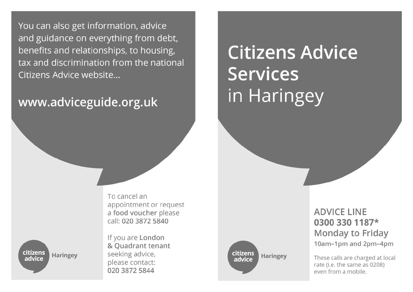You can also get information, advice and guidance on everything from debt, benefits and relationships, to housing, tax and discrimination from the national Citizens Advice website...

# www.adviceguide.org.uk

**Citizens Advice Services** in Haringey

To cancel an appointment or request a food voucher please call: 020 3872 5840

citizens Haringey advice

If you are London & Quadrant tenant seeking advice, please contact: 020 3872 5844

citizens Haringey advice

# **ADVICE LINE** 0300 330 1187\* Monday to Friday 10am-1pm and 2pm-4pm

These calls are charged at local rate (i.e. the same as 0208) even from a mobile.